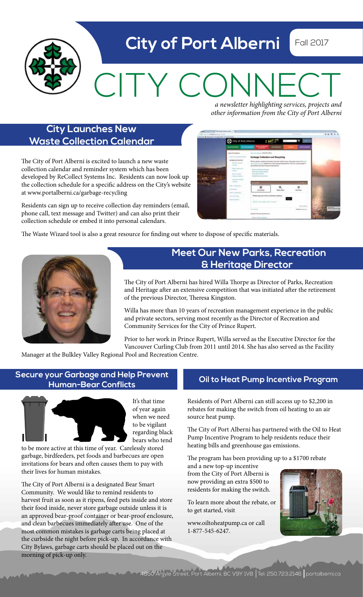# **City of Port Alberni** Fall 2017 CITY CONNECT

*a newsletter highlighting services, projects and other information from the City of Port Alberni*

## **City Launches New Waste Collection Calendar**

The City of Port Alberni is excited to launch a new waste collection calendar and reminder system which has been developed by ReCollect Systems Inc. Residents can now look up the collection schedule for a specific address on the City's website at www.portalberni.ca/garbage-recycling

Residents can sign up to receive collection day reminders (email, phone call, text message and Twitter) and can also print their collection schedule or embed it into personal calendars.

| consider & insurance is bagaining if the success. |                                                                                    |                                                        |                                                                                                                                                                                                                                            |                                                                                                                                                                                                                                                                                                                                                                                                                                                                                                 |                     |
|---------------------------------------------------|------------------------------------------------------------------------------------|--------------------------------------------------------|--------------------------------------------------------------------------------------------------------------------------------------------------------------------------------------------------------------------------------------------|-------------------------------------------------------------------------------------------------------------------------------------------------------------------------------------------------------------------------------------------------------------------------------------------------------------------------------------------------------------------------------------------------------------------------------------------------------------------------------------------------|---------------------|
|                                                   | City of Port Alberni                                                               |                                                        | <b>Seattle</b>                                                                                                                                                                                                                             |                                                                                                                                                                                                                                                                                                                                                                                                                                                                                                 |                     |
|                                                   | <b>ROTHER TRANSPORT</b>                                                            | <b>PERSONAL</b>                                        | ----                                                                                                                                                                                                                                       | <b>STATISTICS</b><br>$\frac{1}{2} \left( \frac{1}{2} \right) \left( \frac{1}{2} \right) \left( \frac{1}{2} \right) \left( \frac{1}{2} \right) \left( \frac{1}{2} \right) \left( \frac{1}{2} \right) \left( \frac{1}{2} \right) \left( \frac{1}{2} \right) \left( \frac{1}{2} \right) \left( \frac{1}{2} \right) \left( \frac{1}{2} \right) \left( \frac{1}{2} \right) \left( \frac{1}{2} \right) \left( \frac{1}{2} \right) \left( \frac{1}{2} \right) \left( \frac{1}{2} \right) \left( \frac$ |                     |
|                                                   | <b>Expiritual Associa</b>                                                          | Control To Colorado Mar Alexandro                      |                                                                                                                                                                                                                                            |                                                                                                                                                                                                                                                                                                                                                                                                                                                                                                 |                     |
|                                                   | <b>And Convenience</b>                                                             |                                                        | Garbage Collection and Recycling                                                                                                                                                                                                           |                                                                                                                                                                                                                                                                                                                                                                                                                                                                                                 |                     |
|                                                   | <b><i>LESSEA MAINTAINE</i></b><br>Building county !<br><b>CONTRACTOR</b><br>$\sim$ |                                                        | The fits you want a residential destinations with realize industries fund as Third awake content to the Louisian<br>Total Copyright Charles form more Daniel Project Bank The Toyl assistant apply a<br>As amen's in Apro times franchised |                                                                                                                                                                                                                                                                                                                                                                                                                                                                                                 |                     |
|                                                   | Topo for \$150 p.m.<br>tang CO.                                                    | a local company in the<br>A Scored comed Linkship      |                                                                                                                                                                                                                                            |                                                                                                                                                                                                                                                                                                                                                                                                                                                                                                 |                     |
|                                                   | <b>Report of America</b><br><b>CONSUMITION</b>                                     | # Goodmainsacri-<br>4 least in consuming a             |                                                                                                                                                                                                                                            |                                                                                                                                                                                                                                                                                                                                                                                                                                                                                                 |                     |
|                                                   | <b>Insurance of their</b>                                                          |                                                        |                                                                                                                                                                                                                                            |                                                                                                                                                                                                                                                                                                                                                                                                                                                                                                 |                     |
|                                                   | <b>CONTRACTOR</b><br><b>Ball Telephone</b>                                         |                                                        |                                                                                                                                                                                                                                            |                                                                                                                                                                                                                                                                                                                                                                                                                                                                                                 |                     |
|                                                   | www.communication.com<br><b>STATISTICS</b>                                         |                                                        |                                                                                                                                                                                                                                            |                                                                                                                                                                                                                                                                                                                                                                                                                                                                                                 |                     |
|                                                   | car but in comparison to<br>the print of the company of the                        |                                                        |                                                                                                                                                                                                                                            |                                                                                                                                                                                                                                                                                                                                                                                                                                                                                                 |                     |
|                                                   | <b>High Hart Frank</b><br><b>Product of Alan</b>                                   |                                                        | Flames late used bases in business antique<br><b>The Second Con-</b>                                                                                                                                                                       |                                                                                                                                                                                                                                                                                                                                                                                                                                                                                                 |                     |
|                                                   | <b>Charles Associates</b><br>where the country of the country                      |                                                        | Silencer alla compete presi in compete                                                                                                                                                                                                     |                                                                                                                                                                                                                                                                                                                                                                                                                                                                                                 |                     |
|                                                   |                                                                                    |                                                        |                                                                                                                                                                                                                                            |                                                                                                                                                                                                                                                                                                                                                                                                                                                                                                 | <b>Bank Ave</b>     |
|                                                   |                                                                                    | $-$<br><b>ALL CROSSING</b>                             |                                                                                                                                                                                                                                            | <b>Seatter to provide</b><br>53                                                                                                                                                                                                                                                                                                                                                                                                                                                                 | and of Chicago come |
|                                                   |                                                                                    | <b><i><u>Andreas Children Art Andrews Arts</u></i></b> |                                                                                                                                                                                                                                            |                                                                                                                                                                                                                                                                                                                                                                                                                                                                                                 |                     |

The Waste Wizard tool is also a great resource for finding out where to dispose of specific materials.



## **Meet Our New Parks, Recreation & Heritage Director**

The City of Port Alberni has hired Willa Thorpe as Director of Parks, Recreation and Heritage after an extensive competition that was initiated after the retirement of the previous Director, Theresa Kingston.

Willa has more than 10 years of recreation management experience in the public and private sectors, serving most recently as the Director of Recreation and Community Services for the City of Prince Rupert.

Prior to her work in Prince Rupert, Willa served as the Executive Director for the Vancouver Curling Club from 2011 until 2014. She has also served as the Facility

Manager at the Bulkley Valley Regional Pool and Recreation Centre.

### **Oil to Heat Pump Incentive Program Secure your Garbage and Help Prevent Human-Bear Conflicts**



It's that time of year again when we need to be vigilant regarding black bears who tend

to be more active at this time of year. Carelessly stored garbage, birdfeeders, pet foods and barbecues are open invitations for bears and often causes them to pay with their lives for human mistakes.

The City of Port Alberni is a designated Bear Smart Community. We would like to remind residents to harvest fruit as soon as it ripens, feed pets inside and store their food inside, never store garbage outside unless it is an approved bear-proof container or bear-proof enclosure, and clean barbecues immediately after use. One of the most common mistakes is garbage carts being placed at the curbside the night before pick-up. In accordance with City Bylaws, garbage carts should be placed out on the morning of pick-up only.

Residents of Port Alberni can still access up to \$2,200 in rebates for making the switch from oil heating to an air source heat pump.

The City of Port Alberni has partnered with the Oil to Heat Pump Incentive Program to help residents reduce their heating bills and greenhouse gas emissions.

The program has been providing up to a \$1700 rebate

and a new top-up incentive from the City of Port Alberni is now providing an extra \$500 to residents for making the switch.

To learn more about the rebate, or to get started, visit

www.oiltoheatpump.ca or call 1-877-545-6247.